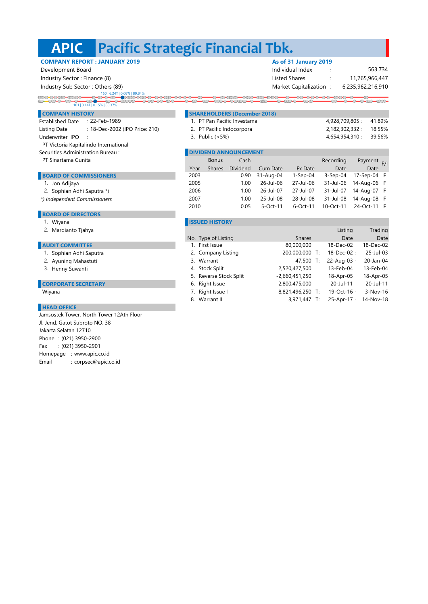# **APIC Pacific Strategic Financial Tbk.**

# **COMPANY REPORT : JANUARY 2019 As of 31 January 2019**

150 | 6.24T | 0.08% | 89.84%

# 101 | 3.14T | 0.15% | 88.37% $\overline{\text{C}}$   $\overline{\text{C}}$   $\overline{\text{C}}$

- Established Date : : 22-Feb-1989 Listing Date : : 18-Dec-2002 (IPO Price: 210) Underwriter IPO : 3. Public (<5%)
- PT Victoria Kapitalindo International
- Securities Administration Bureau : **DIVIDENT ANNOUNCEMENT**
- PT Sinartama Gunita

### **BOARD OF COMMISSIONERS**

- 1. Jon Adijaya
- 2. Sophian Adhi Saputra \*)
- *\*) Independent Commissioners*

#### **BOARD OF DIRECTORS**

- 1.
- 

# **AUDIT COMMITTEE**

- 
- 
- 3. Henny Suwanti

#### **CORPORATE SECRETARY**

# **HEAD OFFICE**

Phone : (021) 3950-2900 Fax : (021) 3950-2901 Homepage : www.apic.co.id Email : corpsec@apic.co.id Jamsostek Tower, North Tower 12Ath Floor Jl. Jend. Gatot Subroto NO. 38 Jakarta Selatan 12710

 Development Board Individual Index : Industry Sector : Finance (8) **Industry Sector : Finance (8)** Listed Shares in the Listed Shares in the Listed Shares in the Listed Shares in the Listed Shares in the Listed Shares in the Listed Shares in the Listed Shares Industry Sub Sector : Others (89) Market Capitalization : Market Capitalization : 6,235,962,216,910 11,765,966,447 563.734

## $\overline{\overline{\mathcal{O}}\mathcal{O}}$ **COMPANY HISTORY SHAREHOLDERS (December 2018)**

| 1. PT Pan Pacific Investama | 4.928.709.805: | 41.89% |
|-----------------------------|----------------|--------|
| 2. PT Pacific Indocorpora   | 2.182.302.332: | 18.55% |

4,654,954,310 : 39.56% 2,182,302,332 : 18.55%

|      | <b>Bonus</b>  | Cash     |                  |             | Recording       | Payment F/I |  |
|------|---------------|----------|------------------|-------------|-----------------|-------------|--|
| Year | <b>Shares</b> | Dividend | Cum Date         | Ex Date     | Date            | Date        |  |
| 2003 |               | 0.90     | 31-Aug-04        | $1-Sep-04$  | $3-Sep-04$      | 17-Sep-04 F |  |
| 2005 |               | 1.00     | $26 -$ Jul $-06$ | 27-Jul-06   | 31-Jul-06       | 14-Aug-06 F |  |
| 2006 |               | 1.00     | $26 -$ Jul $-07$ | 27-Jul-07   | 31-Jul-07       | 14-Aug-07 F |  |
| 2007 |               | 1.00     | 25-Jul-08        | 28-Jul-08   | 31-Jul-08       | 14-Aug-08 F |  |
| 2010 |               | 0.05     | $5-Oct-11$       | $6$ -Oct-11 | $10 - Oct - 11$ | 24-Oct-11 F |  |
|      |               |          |                  |             |                 |             |  |

## **ISSUED HISTORY**

| 2. Mardianto Tjahya        |                        |                  | Listing           | Trading    |
|----------------------------|------------------------|------------------|-------------------|------------|
|                            | No. Type of Listing    | <b>Shares</b>    | Date              | Date       |
| <b>AUDIT COMMITTEE</b>     | 1. First Issue         | 80,000,000       | 18-Dec-02         | 18-Dec-02  |
| 1. Sophian Adhi Saputra    | 2. Company Listing     | 200,000,000 T:   | $18 - Dec - 02$ : | 25-Jul-03  |
| 2. Ayuning Mahastuti       | 3. Warrant             | 47,500 T:        | $22 - Aug-03$ :   | 20-Jan-04  |
| 3. Henny Suwanti           | 4. Stock Split         | 2,520,427,500    | 13-Feb-04         | 13-Feb-04  |
|                            | 5. Reverse Stock Split | $-2,660,451,250$ | 18-Apr-05         | 18-Apr-05  |
| <b>CORPORATE SECRETARY</b> | 6. Right Issue         | 2,800,475,000    | 20-Jul-11         | 20-Jul-11  |
| Wiyana                     | 7. Right Issue I       | 8,821,496,250 T: | 19-Oct-16:        | $3-Nov-16$ |
|                            | 8. Warrant II          | 3,971,447 T:     | 25-Apr-17:        | 14-Nov-18  |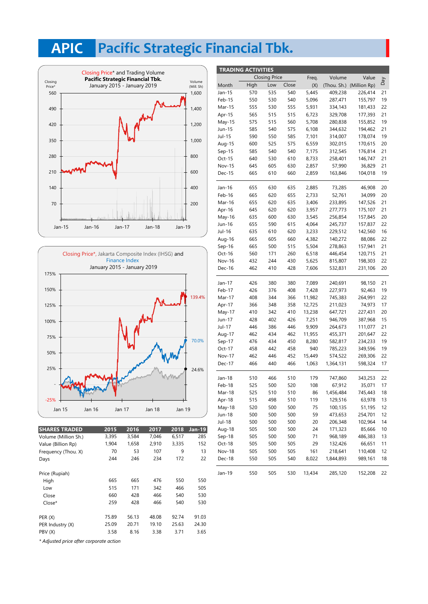# **APIC Pacific Strategic Financial Tbk.**





| <b>SHARES TRADED</b> | 2015  | 2016  | 2017  | 2018  | <b>Jan-19</b> | Aug-18 |
|----------------------|-------|-------|-------|-------|---------------|--------|
| Volume (Million Sh.) | 3,395 | 3,584 | 7,046 | 6,517 | 285           | Sep-18 |
| Value (Billion Rp)   | 1,904 | 1,658 | 2,910 | 3,335 | 152           | Oct-18 |
| Frequency (Thou. X)  | 70    | 53    | 107   | 9     | 13            | Nov-18 |
| Days                 | 244   | 246   | 234   | 172   | 22            | Dec-18 |
| Price (Rupiah)       |       |       |       |       |               | Jan-19 |
| High                 | 665   | 665   | 476   | 550   | 550           |        |
| Low                  | 515   | 171   | 342   | 466   | 505           |        |
| Close                | 660   | 428   | 466   | 540   | 530           |        |
| $Close*$             | 259   | 428   | 466   | 540   | 530           |        |
| PER(X)               | 75.89 | 56.13 | 48.08 | 92.74 | 91.03         |        |
| PER Industry (X)     | 25.09 | 20.71 | 19.10 | 25.63 | 24.30         |        |
| PBV (X)              | 3.58  | 8.16  | 3.38  | 3.71  | 3.65          |        |
|                      |       |       |       |       |               |        |

| <b>TRADING ACTIVITIES</b> |      |                      |       |        |           |                          |     |
|---------------------------|------|----------------------|-------|--------|-----------|--------------------------|-----|
|                           |      | <b>Closing Price</b> |       | Freq.  | Volume    | Value                    |     |
| Month                     | High | Low                  | Close | (X)    |           | (Thou. Sh.) (Million Rp) | VeQ |
| Jan-15                    | 570  | 535                  | 540   | 5,445  | 409,238   | 226,414                  | 21  |
| Feb-15                    | 550  | 530                  | 540   | 5,096  | 287,471   | 155,797                  | 19  |
| Mar-15                    | 555  | 530                  | 555   | 5,931  | 334,143   | 181,433                  | 22  |
| Apr-15                    | 565  | 515                  | 515   | 6,723  | 329,708   | 177,393                  | 21  |
| May-15                    | 575  | 515                  | 560   | 5,708  | 280,838   | 155,852                  | 19  |
| Jun-15                    | 585  | 540                  | 575   | 6,108  | 344,632   | 194,462                  | 21  |
| Jul-15                    | 590  | 550                  | 585   | 7,101  | 314,007   | 178,074                  | 19  |
| Aug-15                    | 600  | 525                  | 575   | 6,559  | 302,015   | 170,615                  | 20  |
| $Sep-15$                  | 585  | 540                  | 540   | 7,175  | 312,545   | 176,814                  | 21  |
| Oct-15                    | 640  | 530                  | 610   | 8,733  | 258,401   | 146,747                  | 21  |
| <b>Nov-15</b>             | 645  | 605                  | 630   | 2,857  | 57,990    | 36,829                   | 21  |
| Dec-15                    | 665  | 610                  | 660   | 2,859  | 163,846   | 104,018                  | 19  |
| Jan-16                    | 655  | 630                  | 635   | 2,885  | 73,285    | 46,908                   | 20  |
| Feb-16                    | 665  | 620                  | 655   | 2,733  | 52,761    | 34,099                   | 20  |
| Mar-16                    | 655  | 620                  | 635   | 3,406  | 233,895   | 147,526                  | 21  |
| Apr-16                    | 645  | 620                  | 620   | 3,957  | 277,773   | 175,107                  | 21  |
| May-16                    | 635  | 600                  | 630   | 3,545  | 256,854   | 157,845                  | 20  |
| Jun-16                    | 655  | 590                  | 615   | 4,064  | 245,737   | 157,837                  | 22  |
| Jul-16                    | 635  | 610                  | 620   | 3,233  | 229,512   | 142,560                  | 16  |
| Aug-16                    | 665  | 605                  | 660   | 4,382  | 140,272   | 88,086                   | 22  |
| $Sep-16$                  | 665  | 500                  | 515   | 5,504  | 278,863   | 157,941                  | 21  |
| Oct-16                    | 560  | 171                  | 260   | 6,518  | 446,454   | 120,715                  | 21  |
| Nov-16                    | 432  | 244                  | 430   | 5,625  | 815,807   | 198,303                  | 22  |
| Dec-16                    | 462  | 410                  | 428   | 7,606  | 532,831   | 231,106                  | 20  |
| Jan-17                    | 426  | 380                  | 380   | 7,089  | 240,691   | 98,150                   | 21  |
| Feb-17                    | 426  | 376                  | 408   | 7,428  | 227,973   | 92,463                   | 19  |
| Mar-17                    | 408  | 344                  | 366   | 11,982 | 745,383   | 264,991                  | 22  |
| Apr-17                    | 366  | 348                  | 358   | 12,725 | 211,023   | 74,973                   | 17  |
| May-17                    | 410  | 342                  | 410   | 13,238 | 647,721   | 227,431                  | 20  |
| Jun-17                    | 428  | 402                  | 426   | 7,251  | 946,709   | 387,968                  | 15  |
| Jul-17                    | 446  | 386                  | 446   | 9,909  | 264,673   | 111,077                  | 21  |
| Aug-17                    | 462  | 434                  | 462   | 11,955 | 455,371   | 201,647                  | 22  |
| Sep-17                    | 476  | 434                  | 450   | 8,280  | 582,817   | 234,233                  | 19  |
| Oct-17                    | 458  | 442                  | 458   | 940    | 785,223   | 349,596                  | 19  |
| <b>Nov-17</b>             | 462  | 446                  | 452   | 15,449 | 574,522   | 269,306                  | 22  |
| Dec-17                    | 466  | 440                  | 466   | 1,063  | 1,364,131 | 598,324                  | 17  |
| Jan-18                    | 510  | 466                  | 510   | 179    | 747,860   | 343,253                  | 22  |
| Feb-18                    | 525  | 500                  | 520   | 108    | 67,912    | 35,071                   | 17  |
| Mar-18                    | 525  | 510                  | 510   | 86     | 1,456,484 | 745,443                  | 18  |
| Apr-18                    | 515  | 498                  | 510   | 119    | 129,516   | 63,978                   | 13  |
| May-18                    | 520  | 500                  | 500   | 75     | 100,135   | 51,195                   | 12  |
| Jun-18                    | 500  | 500                  | 500   | 59     | 473,653   | 254,701                  | 12  |
| Jul-18                    | 500  | 500                  | 500   | 20     | 206,348   | 102,964                  | 14  |
| Aug-18                    | 505  | 500                  | 500   | 24     | 171,323   | 85,666                   | 10  |
| Sep-18                    | 505  | 500                  | 500   | 71     | 968,189   | 486,383                  | 13  |
| Oct-18                    | 505  | 500                  | 505   | 29     | 132,426   | 66,651                   | 11  |
| <b>Nov-18</b>             | 505  | 500                  | 505   | 161    | 218,641   | 110,408                  | 12  |
| Dec-18                    | 550  | 505                  | 540   | 8,022  | 1,844,893 | 989,161                  | 18  |
| Jan-19                    | 550  | 505                  | 530   | 13,434 | 285,120   | 152,208                  | 22  |

*\* Adjusted price after corporate action*